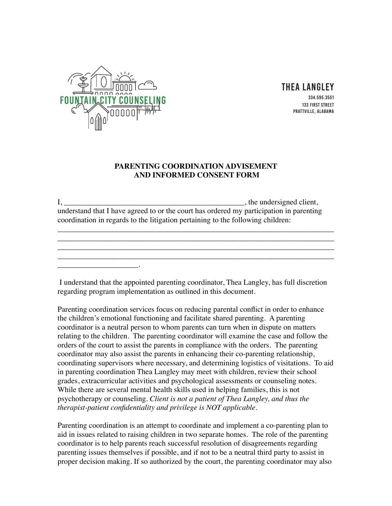

\_\_\_\_\_\_\_\_\_\_\_\_\_\_\_\_\_\_\_\_\_.

Thea Langley

334.595.3551 133 First Street Prattville, ALabama

## **PARENTING COORDINATION ADVISEMENT AND INFORMED CONSENT FORM**

 $I, \_\_\_\_\_\_$ , the undersigned client, understand that I have agreed to or the court has ordered my participation in parenting coordination in regards to the litigation pertaining to the following children:

\_\_\_\_\_\_\_\_\_\_\_\_\_\_\_\_\_\_\_\_\_\_\_\_\_\_\_\_\_\_\_\_\_\_\_\_\_\_\_\_\_\_\_\_\_\_\_\_\_\_\_\_\_\_\_\_\_\_\_\_\_\_\_\_\_\_\_\_\_\_\_\_ \_\_\_\_\_\_\_\_\_\_\_\_\_\_\_\_\_\_\_\_\_\_\_\_\_\_\_\_\_\_\_\_\_\_\_\_\_\_\_\_\_\_\_\_\_\_\_\_\_\_\_\_\_\_\_\_\_\_\_\_\_\_\_\_\_\_\_\_\_\_\_\_ \_\_\_\_\_\_\_\_\_\_\_\_\_\_\_\_\_\_\_\_\_\_\_\_\_\_\_\_\_\_\_\_\_\_\_\_\_\_\_\_\_\_\_\_\_\_\_\_\_\_\_\_\_\_\_\_\_\_\_\_\_\_\_\_\_\_\_\_\_\_\_\_ \_\_\_\_\_\_\_\_\_\_\_\_\_\_\_\_\_\_\_\_\_\_\_\_\_\_\_\_\_\_\_\_\_\_\_\_\_\_\_\_\_\_\_\_\_\_\_\_\_\_\_\_\_\_\_\_\_\_\_\_\_\_\_\_\_\_\_\_\_\_\_\_

 I understand that the appointed parenting coordinator, Thea Langley, has full discretion regarding program implementation as outlined in this document.

Parenting coordination services focus on reducing parental conflict in order to enhance the children's emotional functioning and facilitate shared parenting. A parenting coordinator is a neutral person to whom parents can turn when in dispute on matters relating to the children. The parenting coordinator will examine the case and follow the orders of the court to assist the parents in compliance with the orders. The parenting coordinator may also assist the parents in enhancing their co-parenting relationship, coordinating supervisors where necessary, and determining logistics of visitations. To aid in parenting coordination Thea Langley may meet with children, review their school grades, extracurricular activities and psychological assessments or counseling notes. While there are several mental health skills used in helping families, this is not psychotherapy or counseling. *Client is not a patient of Thea Langley, and thus the therapist-patient confidentiality and privilege is NOT applicable.* 

Parenting coordination is an attempt to coordinate and implement a co-parenting plan to aid in issues related to raising children in two separate homes. The role of the parenting coordinator is to help parents reach successful resolution of disagreements regarding parenting issues themselves if possible, and if not to be a neutral third party to assist in proper decision making. If so authorized by the court, the parenting coordinator may also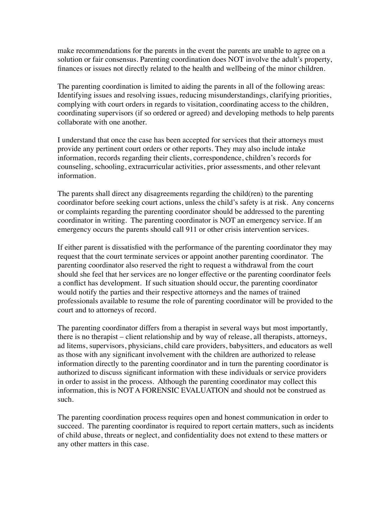make recommendations for the parents in the event the parents are unable to agree on a solution or fair consensus. Parenting coordination does NOT involve the adult's property, finances or issues not directly related to the health and wellbeing of the minor children.

The parenting coordination is limited to aiding the parents in all of the following areas: Identifying issues and resolving issues, reducing misunderstandings, clarifying priorities, complying with court orders in regards to visitation, coordinating access to the children, coordinating supervisors (if so ordered or agreed) and developing methods to help parents collaborate with one another.

I understand that once the case has been accepted for services that their attorneys must provide any pertinent court orders or other reports. They may also include intake information, records regarding their clients, correspondence, children's records for counseling, schooling, extracurricular activities, prior assessments, and other relevant information.

The parents shall direct any disagreements regarding the child(ren) to the parenting coordinator before seeking court actions, unless the child's safety is at risk. Any concerns or complaints regarding the parenting coordinator should be addressed to the parenting coordinator in writing. The parenting coordinator is NOT an emergency service. If an emergency occurs the parents should call 911 or other crisis intervention services.

If either parent is dissatisfied with the performance of the parenting coordinator they may request that the court terminate services or appoint another parenting coordinator. The parenting coordinator also reserved the right to request a withdrawal from the court should she feel that her services are no longer effective or the parenting coordinator feels a conflict has development. If such situation should occur, the parenting coordinator would notify the parties and their respective attorneys and the names of trained professionals available to resume the role of parenting coordinator will be provided to the court and to attorneys of record.

The parenting coordinator differs from a therapist in several ways but most importantly, there is no therapist – client relationship and by way of release, all therapists, attorneys, ad litems, supervisors, physicians, child care providers, babysitters, and educators as well as those with any significant involvement with the children are authorized to release information directly to the parenting coordinator and in turn the parenting coordinator is authorized to discuss significant information with these individuals or service providers in order to assist in the process. Although the parenting coordinator may collect this information, this is NOT A FORENSIC EVALUATION and should not be construed as such.

The parenting coordination process requires open and honest communication in order to succeed. The parenting coordinator is required to report certain matters, such as incidents of child abuse, threats or neglect, and confidentiality does not extend to these matters or any other matters in this case.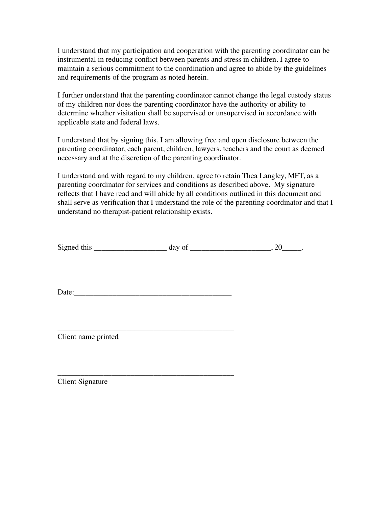I understand that my participation and cooperation with the parenting coordinator can be instrumental in reducing conflict between parents and stress in children. I agree to maintain a serious commitment to the coordination and agree to abide by the guidelines and requirements of the program as noted herein.

I further understand that the parenting coordinator cannot change the legal custody status of my children nor does the parenting coordinator have the authority or ability to determine whether visitation shall be supervised or unsupervised in accordance with applicable state and federal laws.

I understand that by signing this, I am allowing free and open disclosure between the parenting coordinator, each parent, children, lawyers, teachers and the court as deemed necessary and at the discretion of the parenting coordinator.

I understand and with regard to my children, agree to retain Thea Langley, MFT, as a parenting coordinator for services and conditions as described above. My signature reflects that I have read and will abide by all conditions outlined in this document and shall serve as verification that I understand the role of the parenting coordinator and that I understand no therapist-patient relationship exists.

| $\sim$<br>$\mathbf{S}1$<br>- 11 | uu |  |
|---------------------------------|----|--|
|                                 |    |  |

 $Date:$ 

\_\_\_\_\_\_\_\_\_\_\_\_\_\_\_\_\_\_\_\_\_\_\_\_\_\_\_\_\_\_\_\_\_\_\_\_\_\_\_\_\_\_\_\_\_\_

\_\_\_\_\_\_\_\_\_\_\_\_\_\_\_\_\_\_\_\_\_\_\_\_\_\_\_\_\_\_\_\_\_\_\_\_\_\_\_\_\_\_\_\_\_\_ Client name printed

Client Signature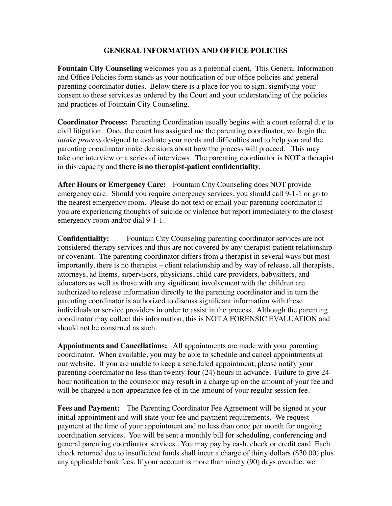## **GENERAL INFORMATION AND OFFICE POLICIES**

**Fountain City Counseling** welcomes you as a potential client. This General Information and Office Policies form stands as your notification of our office policies and general parenting coordinator duties. Below there is a place for you to sign, signifying your consent to these services as ordered by the Court and your understanding of the policies and practices of Fountain City Counseling.

**Coordinator Process:** Parenting Coordination usually begins with a court referral due to civil litigation. Once the court has assigned me the parenting coordinator, we begin the *intake process* designed to evaluate your needs and difficulties and to help you and the parenting coordinator make decisions about how the process will proceed. This may take one interview or a series of interviews. The parenting coordinator is NOT a therapist in this capacity and **there is no therapist-patient confidentiality.** 

**After Hours or Emergency Care:** Fountain City Counseling does NOT provide emergency care. Should you require emergency services, you should call 9-1-1 or go to the nearest emergency room. Please do not text or email your parenting coordinator if you are experiencing thoughts of suicide or violence but report immediately to the closest emergency room and/or dial 9-1-1.

**Confidentiality:** Fountain City Counseling parenting coordinator services are not considered therapy services and thus are not covered by any therapist-patient relationship or covenant. The parenting coordinator differs from a therapist in several ways but most importantly, there is no therapist – client relationship and by way of release, all therapists, attorneys, ad litems, supervisors, physicians, child care providers, babysitters, and educators as well as those with any significant involvement with the children are authorized to release information directly to the parenting coordinator and in turn the parenting coordinator is authorized to discuss significant information with these individuals or service providers in order to assist in the process. Although the parenting coordinator may collect this information, this is NOT A FORENSIC EVALUATION and should not be construed as such.

**Appointments and Cancellations:** All appointments are made with your parenting coordinator. When available, you may be able to schedule and cancel appointments at our website. If you are unable to keep a scheduled appointment, please notify your parenting coordinator no less than twenty-four (24) hours in advance. Failure to give 24 hour notification to the counselor may result in a charge up on the amount of your fee and will be charged a non-appearance fee of in the amount of your regular session fee.

**Fees and Payment:** The Parenting Coordinator Fee Agreement will be signed at your initial appointment and will state your fee and payment requirements. We request payment at the time of your appointment and no less than once per month for ongoing coordination services. You will be sent a monthly bill for scheduling, conferencing and general parenting coordinator services. You may pay by cash, check or credit card. Each check returned due to insufficient funds shall incur a charge of thirty dollars (\$30.00) plus any applicable bank fees. If your account is more than ninety (90) days overdue, we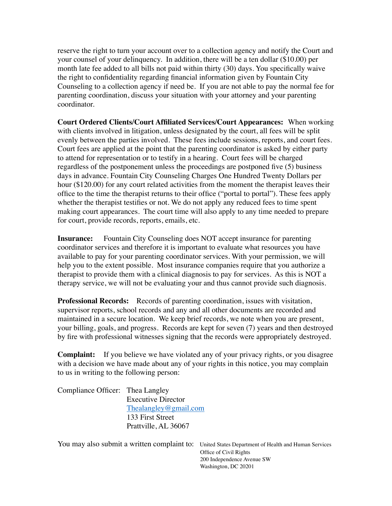reserve the right to turn your account over to a collection agency and notify the Court and your counsel of your delinquency. In addition, there will be a ten dollar (\$10.00) per month late fee added to all bills not paid within thirty (30) days. You specifically waive the right to confidentiality regarding financial information given by Fountain City Counseling to a collection agency if need be. If you are not able to pay the normal fee for parenting coordination, discuss your situation with your attorney and your parenting coordinator.

**Court Ordered Clients/Court Affiliated Services/Court Appearances:** When working with clients involved in litigation, unless designated by the court, all fees will be split evenly between the parties involved. These fees include sessions, reports, and court fees. Court fees are applied at the point that the parenting coordinator is asked by either party to attend for representation or to testify in a hearing. Court fees will be charged regardless of the postponement unless the proceedings are postponed five (5) business days in advance. Fountain City Counseling Charges One Hundred Twenty Dollars per hour (\$120.00) for any court related activities from the moment the therapist leaves their office to the time the therapist returns to their office ("portal to portal"). These fees apply whether the therapist testifies or not. We do not apply any reduced fees to time spent making court appearances. The court time will also apply to any time needed to prepare for court, provide records, reports, emails, etc.

**Insurance:** Fountain City Counseling does NOT accept insurance for parenting coordinator services and therefore it is important to evaluate what resources you have available to pay for your parenting coordinator services. With your permission, we will help you to the extent possible. Most insurance companies require that you authorize a therapist to provide them with a clinical diagnosis to pay for services. As this is NOT a therapy service, we will not be evaluating your and thus cannot provide such diagnosis.

**Professional Records:** Records of parenting coordination, issues with visitation, supervisor reports, school records and any and all other documents are recorded and maintained in a secure location. We keep brief records, we note when you are present, your billing, goals, and progress. Records are kept for seven (7) years and then destroyed by fire with professional witnesses signing that the records were appropriately destroyed.

**Complaint:** If you believe we have violated any of your privacy rights, or you disagree with a decision we have made about any of your rights in this notice, you may complain to us in writing to the following person:

| Compliance Officer: Thea Langley |
|----------------------------------|
| <b>Executive Director</b>        |
| Thealangley@gmail.com            |
| 133 First Street                 |
| Prattville, AL 36067             |
|                                  |

You may also submit a written complaint to: United States Department of Health and Human Services Office of Civil Rights 200 Independence Avenue SW Washington, DC 20201